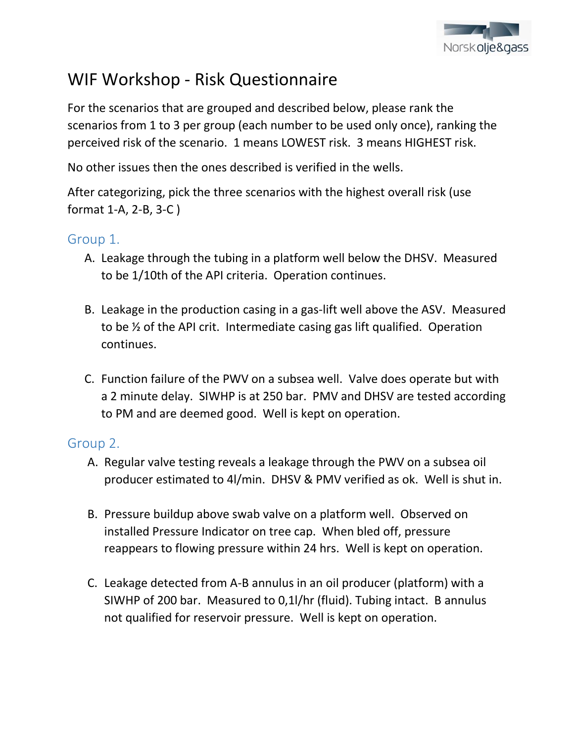

# WIF Workshop - Risk Questionnaire

For the scenarios that are grouped and described below, please rank the scenarios from 1 to 3 per group (each number to be used only once), ranking the perceived risk of the scenario. 1 means LOWEST risk. 3 means HIGHEST risk.

No other issues then the ones described is verified in the wells.

After categorizing, pick the three scenarios with the highest overall risk (use format 1-A, 2-B, 3-C )

#### Group 1.

- A. Leakage through the tubing in a platform well below the DHSV. Measured to be 1/10th of the API criteria. Operation continues.
- B. Leakage in the production casing in a gas-lift well above the ASV. Measured to be ½ of the API crit. Intermediate casing gas lift qualified. Operation continues.
- C. Function failure of the PWV on a subsea well. Valve does operate but with a 2 minute delay. SIWHP is at 250 bar. PMV and DHSV are tested according to PM and are deemed good. Well is kept on operation.

# Group 2.

- A. Regular valve testing reveals a leakage through the PWV on a subsea oil producer estimated to 4l/min. DHSV & PMV verified as ok. Well is shut in.
- B. Pressure buildup above swab valve on a platform well. Observed on installed Pressure Indicator on tree cap. When bled off, pressure reappears to flowing pressure within 24 hrs. Well is kept on operation.
- C. Leakage detected from A-B annulus in an oil producer (platform) with a SIWHP of 200 bar. Measured to 0,1l/hr (fluid). Tubing intact. B annulus not qualified for reservoir pressure. Well is kept on operation.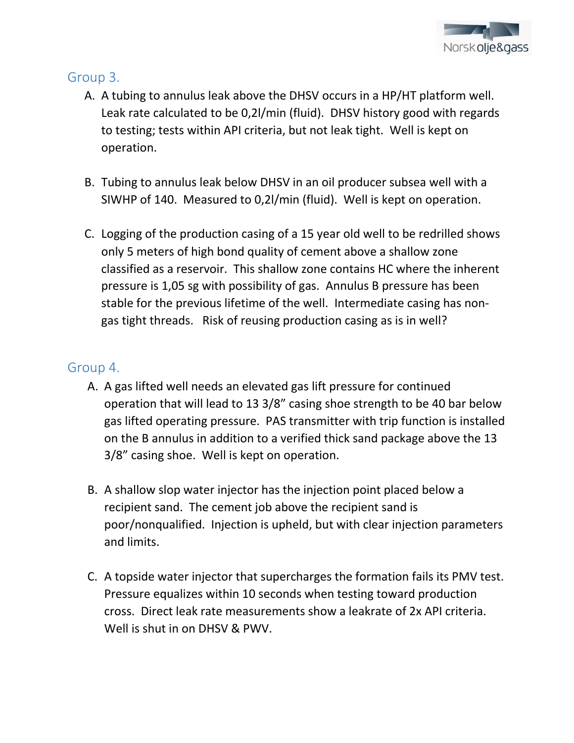

# Group 3.

- A. A tubing to annulus leak above the DHSV occurs in a HP/HT platform well. Leak rate calculated to be 0,2l/min (fluid). DHSV history good with regards to testing; tests within API criteria, but not leak tight. Well is kept on operation.
- B. Tubing to annulus leak below DHSV in an oil producer subsea well with a SIWHP of 140. Measured to 0,2l/min (fluid). Well is kept on operation.
- C. Logging of the production casing of a 15 year old well to be redrilled shows only 5 meters of high bond quality of cement above a shallow zone classified as a reservoir. This shallow zone contains HC where the inherent pressure is 1,05 sg with possibility of gas. Annulus B pressure has been stable for the previous lifetime of the well. Intermediate casing has nongas tight threads. Risk of reusing production casing as is in well?

### Group 4.

- A. A gas lifted well needs an elevated gas lift pressure for continued operation that will lead to 13 3/8" casing shoe strength to be 40 bar below gas lifted operating pressure. PAS transmitter with trip function is installed on the B annulus in addition to a verified thick sand package above the 13 3/8" casing shoe. Well is kept on operation.
- B. A shallow slop water injector has the injection point placed below a recipient sand. The cement job above the recipient sand is poor/nonqualified. Injection is upheld, but with clear injection parameters and limits.
- C. A topside water injector that supercharges the formation fails its PMV test. Pressure equalizes within 10 seconds when testing toward production cross. Direct leak rate measurements show a leakrate of 2x API criteria. Well is shut in on DHSV & PWV.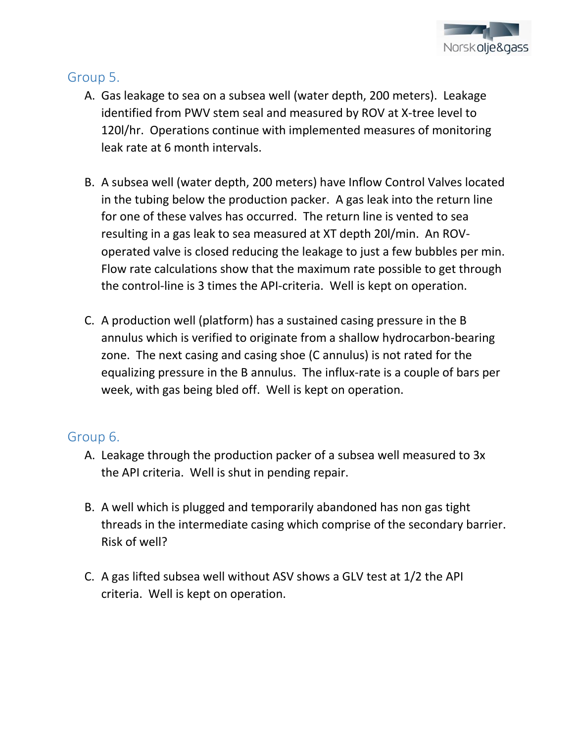

# Group 5.

- A. Gas leakage to sea on a subsea well (water depth, 200 meters). Leakage identified from PWV stem seal and measured by ROV at X-tree level to 120l/hr. Operations continue with implemented measures of monitoring leak rate at 6 month intervals.
- B. A subsea well (water depth, 200 meters) have Inflow Control Valves located in the tubing below the production packer. A gas leak into the return line for one of these valves has occurred. The return line is vented to sea resulting in a gas leak to sea measured at XT depth 20l/min. An ROVoperated valve is closed reducing the leakage to just a few bubbles per min. Flow rate calculations show that the maximum rate possible to get through the control-line is 3 times the API-criteria. Well is kept on operation.
- C. A production well (platform) has a sustained casing pressure in the B annulus which is verified to originate from a shallow hydrocarbon-bearing zone. The next casing and casing shoe (C annulus) is not rated for the equalizing pressure in the B annulus. The influx-rate is a couple of bars per week, with gas being bled off. Well is kept on operation.

# Group 6.

- A. Leakage through the production packer of a subsea well measured to 3x the API criteria. Well is shut in pending repair.
- B. A well which is plugged and temporarily abandoned has non gas tight threads in the intermediate casing which comprise of the secondary barrier. Risk of well?
- C. A gas lifted subsea well without ASV shows a GLV test at 1/2 the API criteria. Well is kept on operation.